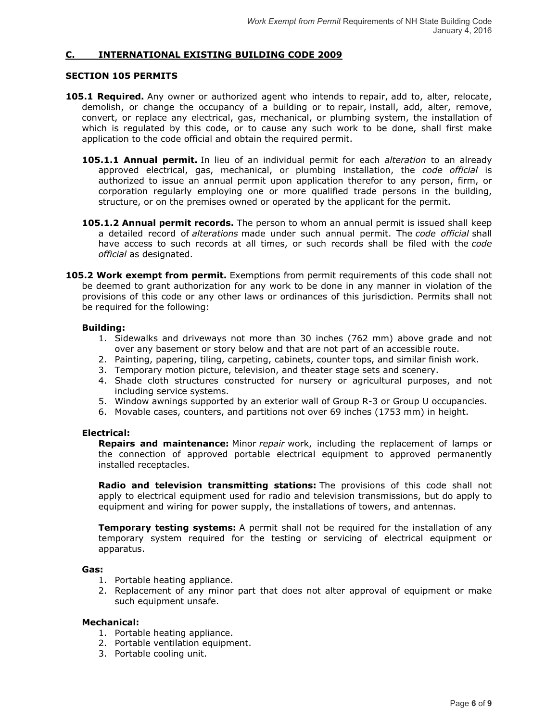# **C. INTERNATIONAL EXISTING BUILDING CODE 2009**

### **SECTION 105 PERMITS**

- **105.1 Required.** Any owner or authorized agent who intends to repair, add to, alter, relocate, demolish, or change the occupancy of a building or to repair, install, add, alter, remove, convert, or replace any electrical, gas, mechanical, or plumbing system, the installation of which is regulated by this code, or to cause any such work to be done, shall first make application to the code official and obtain the required permit.
	- **105.1.1 Annual permit.** In lieu of an individual permit for each *alteration* to an already approved electrical, gas, mechanical, or plumbing installation, the *code official* is authorized to issue an annual permit upon application therefor to any person, firm, or corporation regularly employing one or more qualified trade persons in the building, structure, or on the premises owned or operated by the applicant for the permit.
	- **105.1.2 Annual permit records.** The person to whom an annual permit is issued shall keep a detailed record of *alterations* made under such annual permit. The *code official* shall have access to such records at all times, or such records shall be filed with the *code official* as designated.
- **105.2 Work exempt from permit.** Exemptions from permit requirements of this code shall not be deemed to grant authorization for any work to be done in any manner in violation of the provisions of this code or any other laws or ordinances of this jurisdiction. Permits shall not be required for the following:

### **Building:**

- 1. Sidewalks and driveways not more than 30 inches (762 mm) above grade and not over any basement or story below and that are not part of an accessible route.
- 2. Painting, papering, tiling, carpeting, cabinets, counter tops, and similar finish work.
- 3. Temporary motion picture, television, and theater stage sets and scenery.
- 4. Shade cloth structures constructed for nursery or agricultural purposes, and not including service systems.
- 5. Window awnings supported by an exterior wall of Group R-3 or Group U occupancies.
- 6. Movable cases, counters, and partitions not over 69 inches (1753 mm) in height.

## **Electrical:**

**Repairs and maintenance:** Minor *repair* work, including the replacement of lamps or the connection of approved portable electrical equipment to approved permanently installed receptacles.

**Radio and television transmitting stations:** The provisions of this code shall not apply to electrical equipment used for radio and television transmissions, but do apply to equipment and wiring for power supply, the installations of towers, and antennas.

**Temporary testing systems:** A permit shall not be required for the installation of any temporary system required for the testing or servicing of electrical equipment or apparatus.

## **Gas:**

- 1. Portable heating appliance.
- 2. Replacement of any minor part that does not alter approval of equipment or make such equipment unsafe.

#### **Mechanical:**

- 1. Portable heating appliance.
- 2. Portable ventilation equipment.
- 3. Portable cooling unit.